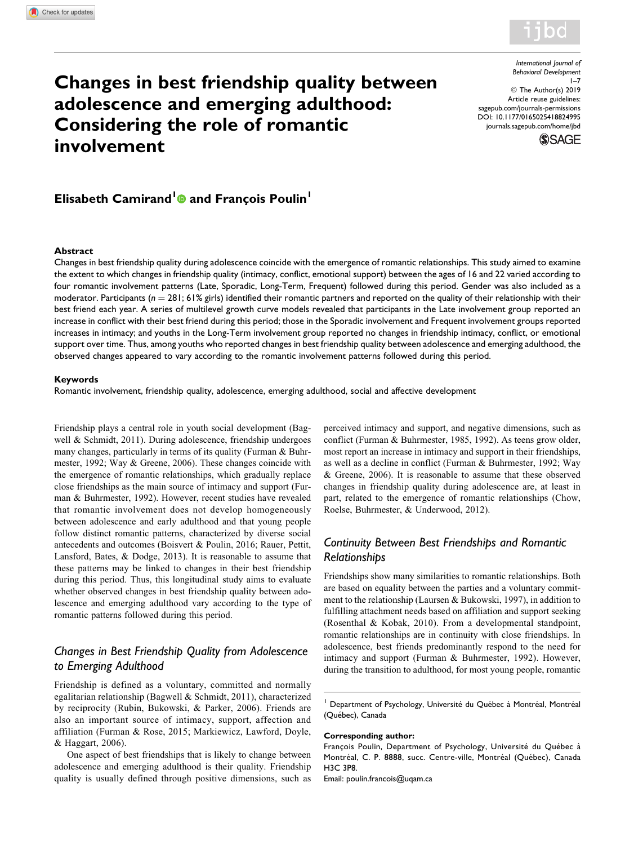

# Changes in best friendship quality between adolescence and emerging adulthood: Considering the role of romantic involvement

International lournal of Behavioral Development  $1 - 7$ © The Author(s) 2019 Article reuse guidelines: [sagepub.com/journals-permissions](https://sagepub.com/journals-permissions) [DOI: 10.1177/0165025418824995](https://doi.org/10.1177/0165025418824995) [journals.sagepub.com/home/jbd](http://journals.sagepub.com/home/jbd)



# Elisabeth Camirand<sup>[1](https://orcid.org/0000-0002-7949-6541)</sup> and François Poulin<sup>1</sup>

#### Abstract

Changes in best friendship quality during adolescence coincide with the emergence of romantic relationships. This study aimed to examine the extent to which changes in friendship quality (intimacy, conflict, emotional support) between the ages of 16 and 22 varied according to four romantic involvement patterns (Late, Sporadic, Long-Term, Frequent) followed during this period. Gender was also included as a moderator. Participants ( $n = 281$ ; 61% girls) identified their romantic partners and reported on the quality of their relationship with their best friend each year. A series of multilevel growth curve models revealed that participants in the Late involvement group reported an increase in conflict with their best friend during this period; those in the Sporadic involvement and Frequent involvement groups reported increases in intimacy; and youths in the Long-Term involvement group reported no changes in friendship intimacy, conflict, or emotional support over time. Thus, among youths who reported changes in best friendship quality between adolescence and emerging adulthood, the observed changes appeared to vary according to the romantic involvement patterns followed during this period.

#### Keywords

Romantic involvement, friendship quality, adolescence, emerging adulthood, social and affective development

Friendship plays a central role in youth social development (Bagwell & Schmidt, 2011). During adolescence, friendship undergoes many changes, particularly in terms of its quality (Furman & Buhrmester, 1992; Way & Greene, 2006). These changes coincide with the emergence of romantic relationships, which gradually replace close friendships as the main source of intimacy and support (Furman & Buhrmester, 1992). However, recent studies have revealed that romantic involvement does not develop homogeneously between adolescence and early adulthood and that young people follow distinct romantic patterns, characterized by diverse social antecedents and outcomes (Boisvert & Poulin, 2016; Rauer, Pettit, Lansford, Bates, & Dodge, 2013). It is reasonable to assume that these patterns may be linked to changes in their best friendship during this period. Thus, this longitudinal study aims to evaluate whether observed changes in best friendship quality between adolescence and emerging adulthood vary according to the type of romantic patterns followed during this period.

# Changes in Best Friendship Quality from Adolescence to Emerging Adulthood

Friendship is defined as a voluntary, committed and normally egalitarian relationship (Bagwell & Schmidt, 2011), characterized by reciprocity (Rubin, Bukowski, & Parker, 2006). Friends are also an important source of intimacy, support, affection and affiliation (Furman & Rose, 2015; Markiewicz, Lawford, Doyle, & Haggart, 2006).

One aspect of best friendships that is likely to change between adolescence and emerging adulthood is their quality. Friendship quality is usually defined through positive dimensions, such as perceived intimacy and support, and negative dimensions, such as conflict (Furman & Buhrmester, 1985, 1992). As teens grow older, most report an increase in intimacy and support in their friendships, as well as a decline in conflict (Furman & Buhrmester, 1992; Way & Greene, 2006). It is reasonable to assume that these observed changes in friendship quality during adolescence are, at least in part, related to the emergence of romantic relationships (Chow, Roelse, Buhrmester, & Underwood, 2012).

# Continuity Between Best Friendships and Romantic Relationships

Friendships show many similarities to romantic relationships. Both are based on equality between the parties and a voluntary commitment to the relationship (Laursen & Bukowski, 1997), in addition to fulfilling attachment needs based on affiliation and support seeking (Rosenthal & Kobak, 2010). From a developmental standpoint, romantic relationships are in continuity with close friendships. In adolescence, best friends predominantly respond to the need for intimacy and support (Furman & Buhrmester, 1992). However, during the transition to adulthood, for most young people, romantic

#### Corresponding author:

Email: [poulin.francois@uqam.ca](mailto:poulin.francois@uqam.ca)

<sup>&</sup>lt;sup>1</sup> Department of Psychology, Université du Québec à Montréal, Montréal (Québec), Canada

François Poulin, Department of Psychology, Université du Québec à Montréal, C. P. 8888, succ. Centre-ville, Montréal (Québec), Canada H3C 3P8.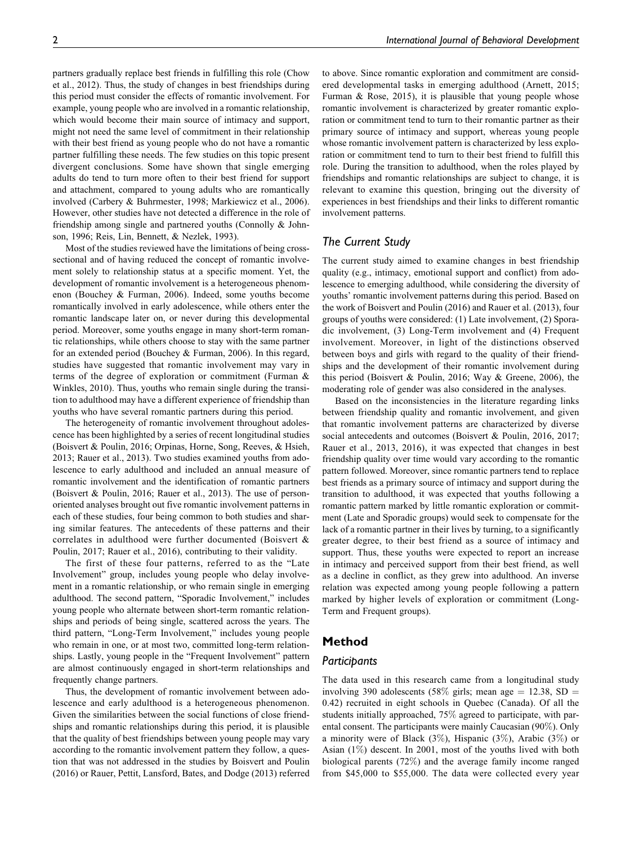partners gradually replace best friends in fulfilling this role (Chow et al., 2012). Thus, the study of changes in best friendships during this period must consider the effects of romantic involvement. For example, young people who are involved in a romantic relationship, which would become their main source of intimacy and support, might not need the same level of commitment in their relationship with their best friend as young people who do not have a romantic partner fulfilling these needs. The few studies on this topic present divergent conclusions. Some have shown that single emerging adults do tend to turn more often to their best friend for support and attachment, compared to young adults who are romantically involved (Carbery & Buhrmester, 1998; Markiewicz et al., 2006). However, other studies have not detected a difference in the role of friendship among single and partnered youths (Connolly & Johnson, 1996; Reis, Lin, Bennett, & Nezlek, 1993).

Most of the studies reviewed have the limitations of being crosssectional and of having reduced the concept of romantic involvement solely to relationship status at a specific moment. Yet, the development of romantic involvement is a heterogeneous phenomenon (Bouchey & Furman, 2006). Indeed, some youths become romantically involved in early adolescence, while others enter the romantic landscape later on, or never during this developmental period. Moreover, some youths engage in many short-term romantic relationships, while others choose to stay with the same partner for an extended period (Bouchey & Furman, 2006). In this regard, studies have suggested that romantic involvement may vary in terms of the degree of exploration or commitment (Furman & Winkles, 2010). Thus, youths who remain single during the transition to adulthood may have a different experience of friendship than youths who have several romantic partners during this period.

The heterogeneity of romantic involvement throughout adolescence has been highlighted by a series of recent longitudinal studies (Boisvert & Poulin, 2016; Orpinas, Horne, Song, Reeves, & Hsieh, 2013; Rauer et al., 2013). Two studies examined youths from adolescence to early adulthood and included an annual measure of romantic involvement and the identification of romantic partners (Boisvert & Poulin, 2016; Rauer et al., 2013). The use of personoriented analyses brought out five romantic involvement patterns in each of these studies, four being common to both studies and sharing similar features. The antecedents of these patterns and their correlates in adulthood were further documented (Boisvert & Poulin, 2017; Rauer et al., 2016), contributing to their validity.

The first of these four patterns, referred to as the "Late Involvement" group, includes young people who delay involvement in a romantic relationship, or who remain single in emerging adulthood. The second pattern, "Sporadic Involvement," includes young people who alternate between short-term romantic relationships and periods of being single, scattered across the years. The third pattern, "Long-Term Involvement," includes young people who remain in one, or at most two, committed long-term relationships. Lastly, young people in the "Frequent Involvement" pattern are almost continuously engaged in short-term relationships and frequently change partners.

Thus, the development of romantic involvement between adolescence and early adulthood is a heterogeneous phenomenon. Given the similarities between the social functions of close friendships and romantic relationships during this period, it is plausible that the quality of best friendships between young people may vary according to the romantic involvement pattern they follow, a question that was not addressed in the studies by Boisvert and Poulin (2016) or Rauer, Pettit, Lansford, Bates, and Dodge (2013) referred to above. Since romantic exploration and commitment are considered developmental tasks in emerging adulthood (Arnett, 2015; Furman & Rose, 2015), it is plausible that young people whose romantic involvement is characterized by greater romantic exploration or commitment tend to turn to their romantic partner as their primary source of intimacy and support, whereas young people whose romantic involvement pattern is characterized by less exploration or commitment tend to turn to their best friend to fulfill this role. During the transition to adulthood, when the roles played by friendships and romantic relationships are subject to change, it is relevant to examine this question, bringing out the diversity of experiences in best friendships and their links to different romantic involvement patterns.

## The Current Study

The current study aimed to examine changes in best friendship quality (e.g., intimacy, emotional support and conflict) from adolescence to emerging adulthood, while considering the diversity of youths' romantic involvement patterns during this period. Based on the work of Boisvert and Poulin (2016) and Rauer et al. (2013), four groups of youths were considered: (1) Late involvement, (2) Sporadic involvement, (3) Long-Term involvement and (4) Frequent involvement. Moreover, in light of the distinctions observed between boys and girls with regard to the quality of their friendships and the development of their romantic involvement during this period (Boisvert & Poulin, 2016; Way & Greene, 2006), the moderating role of gender was also considered in the analyses.

Based on the inconsistencies in the literature regarding links between friendship quality and romantic involvement, and given that romantic involvement patterns are characterized by diverse social antecedents and outcomes (Boisvert & Poulin, 2016, 2017; Rauer et al., 2013, 2016), it was expected that changes in best friendship quality over time would vary according to the romantic pattern followed. Moreover, since romantic partners tend to replace best friends as a primary source of intimacy and support during the transition to adulthood, it was expected that youths following a romantic pattern marked by little romantic exploration or commitment (Late and Sporadic groups) would seek to compensate for the lack of a romantic partner in their lives by turning, to a significantly greater degree, to their best friend as a source of intimacy and support. Thus, these youths were expected to report an increase in intimacy and perceived support from their best friend, as well as a decline in conflict, as they grew into adulthood. An inverse relation was expected among young people following a pattern marked by higher levels of exploration or commitment (Long-Term and Frequent groups).

## Method

#### **Participants**

The data used in this research came from a longitudinal study involving 390 adolescents (58% girls; mean age  $= 12.38$ , SD  $=$ 0.42) recruited in eight schools in Quebec (Canada). Of all the students initially approached, 75% agreed to participate, with parental consent. The participants were mainly Caucasian (90%). Only a minority were of Black  $(3\%)$ , Hispanic  $(3\%)$ , Arabic  $(3\%)$  or Asian (1%) descent. In 2001, most of the youths lived with both biological parents (72%) and the average family income ranged from \$45,000 to \$55,000. The data were collected every year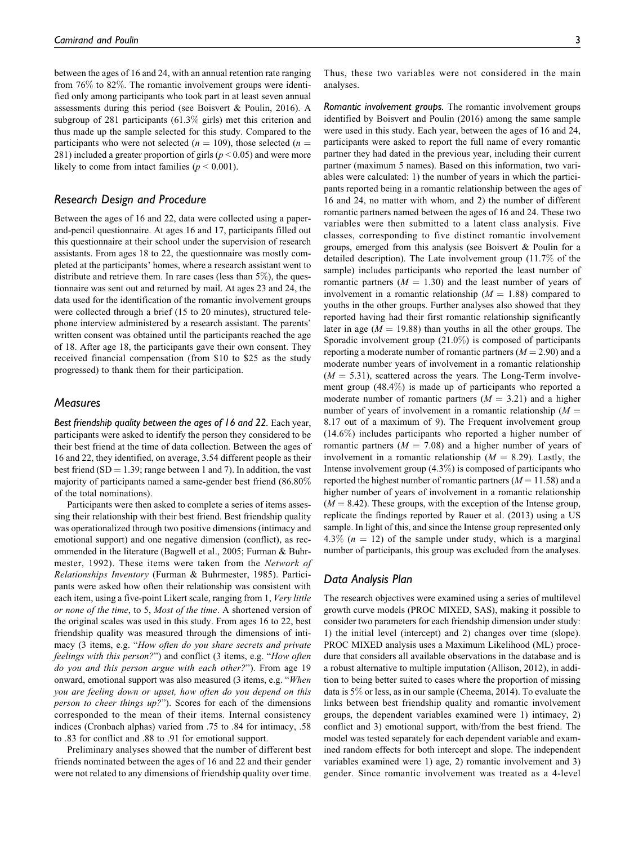between the ages of 16 and 24, with an annual retention rate ranging from 76% to 82%. The romantic involvement groups were identified only among participants who took part in at least seven annual assessments during this period (see Boisvert & Poulin, 2016). A subgroup of 281 participants (61.3% girls) met this criterion and thus made up the sample selected for this study. Compared to the participants who were not selected ( $n = 109$ ), those selected ( $n =$ 281) included a greater proportion of girls ( $p < 0.05$ ) and were more likely to come from intact families ( $p \le 0.001$ ).

## Research Design and Procedure

Between the ages of 16 and 22, data were collected using a paperand-pencil questionnaire. At ages 16 and 17, participants filled out this questionnaire at their school under the supervision of research assistants. From ages 18 to 22, the questionnaire was mostly completed at the participants' homes, where a research assistant went to distribute and retrieve them. In rare cases (less than 5%), the questionnaire was sent out and returned by mail. At ages 23 and 24, the data used for the identification of the romantic involvement groups were collected through a brief (15 to 20 minutes), structured telephone interview administered by a research assistant. The parents' written consent was obtained until the participants reached the age of 18. After age 18, the participants gave their own consent. They received financial compensation (from \$10 to \$25 as the study progressed) to thank them for their participation.

#### **Measures**

Best friendship quality between the ages of 16 and 22. Each year, participants were asked to identify the person they considered to be their best friend at the time of data collection. Between the ages of 16 and 22, they identified, on average, 3.54 different people as their best friend (SD  $=$  1.39; range between 1 and 7). In addition, the vast majority of participants named a same-gender best friend (86.80% of the total nominations).

Participants were then asked to complete a series of items assessing their relationship with their best friend. Best friendship quality was operationalized through two positive dimensions (intimacy and emotional support) and one negative dimension (conflict), as recommended in the literature (Bagwell et al., 2005; Furman & Buhrmester, 1992). These items were taken from the Network of Relationships Inventory (Furman & Buhrmester, 1985). Participants were asked how often their relationship was consistent with each item, using a five-point Likert scale, ranging from 1, Very little or none of the time, to 5, Most of the time. A shortened version of the original scales was used in this study. From ages 16 to 22, best friendship quality was measured through the dimensions of intimacy (3 items, e.g. "How often do you share secrets and private feelings with this person?") and conflict (3 items, e.g. "How often do you and this person argue with each other?"). From age 19 onward, emotional support was also measured (3 items, e.g. "When you are feeling down or upset, how often do you depend on this person to cheer things up?"). Scores for each of the dimensions corresponded to the mean of their items. Internal consistency indices (Cronbach alphas) varied from .75 to .84 for intimacy, .58 to .83 for conflict and .88 to .91 for emotional support.

Preliminary analyses showed that the number of different best friends nominated between the ages of 16 and 22 and their gender were not related to any dimensions of friendship quality over time. Romantic involvement groups. The romantic involvement groups identified by Boisvert and Poulin (2016) among the same sample were used in this study. Each year, between the ages of 16 and 24, participants were asked to report the full name of every romantic partner they had dated in the previous year, including their current partner (maximum 5 names). Based on this information, two variables were calculated: 1) the number of years in which the participants reported being in a romantic relationship between the ages of 16 and 24, no matter with whom, and 2) the number of different romantic partners named between the ages of 16 and 24. These two variables were then submitted to a latent class analysis. Five classes, corresponding to five distinct romantic involvement groups, emerged from this analysis (see Boisvert & Poulin for a detailed description). The Late involvement group (11.7% of the sample) includes participants who reported the least number of romantic partners  $(M = 1.30)$  and the least number of years of involvement in a romantic relationship ( $M = 1.88$ ) compared to youths in the other groups. Further analyses also showed that they reported having had their first romantic relationship significantly later in age ( $M = 19.88$ ) than youths in all the other groups. The Sporadic involvement group (21.0%) is composed of participants reporting a moderate number of romantic partners  $(M = 2.90)$  and a moderate number years of involvement in a romantic relationship  $(M = 5.31)$ , scattered across the years. The Long-Term involvement group (48.4%) is made up of participants who reported a moderate number of romantic partners  $(M = 3.21)$  and a higher number of years of involvement in a romantic relationship  $(M =$ 8.17 out of a maximum of 9). The Frequent involvement group (14.6%) includes participants who reported a higher number of romantic partners ( $M = 7.08$ ) and a higher number of years of involvement in a romantic relationship ( $M = 8.29$ ). Lastly, the Intense involvement group (4.3%) is composed of participants who reported the highest number of romantic partners  $(M = 11.58)$  and a higher number of years of involvement in a romantic relationship  $(M = 8.42)$ . These groups, with the exception of the Intense group, replicate the findings reported by Rauer et al. (2013) using a US sample. In light of this, and since the Intense group represented only 4.3% ( $n = 12$ ) of the sample under study, which is a marginal number of participants, this group was excluded from the analyses.

## Data Analysis Plan

The research objectives were examined using a series of multilevel growth curve models (PROC MIXED, SAS), making it possible to consider two parameters for each friendship dimension under study: 1) the initial level (intercept) and 2) changes over time (slope). PROC MIXED analysis uses a Maximum Likelihood (ML) procedure that considers all available observations in the database and is a robust alternative to multiple imputation (Allison, 2012), in addition to being better suited to cases where the proportion of missing data is 5% or less, as in our sample (Cheema, 2014). To evaluate the links between best friendship quality and romantic involvement groups, the dependent variables examined were 1) intimacy, 2) conflict and 3) emotional support, with/from the best friend. The model was tested separately for each dependent variable and examined random effects for both intercept and slope. The independent variables examined were 1) age, 2) romantic involvement and 3) gender. Since romantic involvement was treated as a 4-level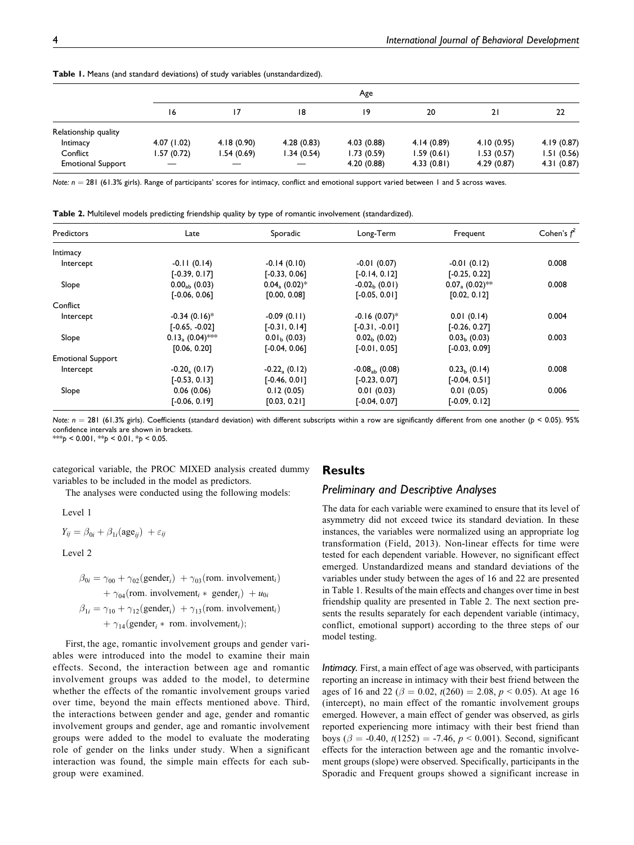|                          | Age         |            |            |            |            |            |             |  |  |  |
|--------------------------|-------------|------------|------------|------------|------------|------------|-------------|--|--|--|
|                          | 16          | 17         | 18         | 19         | 20         | 21         | 22          |  |  |  |
| Relationship quality     |             |            |            |            |            |            |             |  |  |  |
| Intimacy                 | 4.07(1.02)  | 4.18(0.90) | 4.28(0.83) | 4.03(0.88) | 4.14(0.89) | 4.10(0.95) | 4.19 (0.87) |  |  |  |
| Conflict                 | 1.57 (0.72) | 1.54(0.69) | 1.34(0.54) | 1.73(0.59) | 1.59(0.61) | 1.53(0.57) | 1.51(0.56)  |  |  |  |
| <b>Emotional Support</b> |             |            |            | 4.20(0.88) | 4.33(0.81) | 4.29(0.87) | 4.31(0.87)  |  |  |  |

Table 1. Means (and standard deviations) of study variables (unstandardized).

Note:  $n = 281$  (61.3% girls). Range of participants' scores for intimacy, conflict and emotional support varied between 1 and 5 across waves.

Table 2. Multilevel models predicting friendship quality by type of romantic involvement (standardized).

| Predictors               | Late                        | Sporadic                      | Long-Term               | Frequent                    | Cohen's $f^2$ |
|--------------------------|-----------------------------|-------------------------------|-------------------------|-----------------------------|---------------|
| Intimacy                 |                             |                               |                         |                             |               |
| Intercept                | $-0.11(0.14)$               | $-0.14(0.10)$                 | $-0.01(0.07)$           | $-0.01(0.12)$               | 0.008         |
|                          | $[-0.39, 0.17]$             | $[-0.33, 0.06]$               | $[-0.14, 0.12]$         | $[-0.25, 0.22]$             |               |
| Slope                    | $0.00_{ab}$ (0.03)          | $0.04_{\text{a}} (0.02)^*$    | $-0.02b$ (0.01)         | $0.07_{\text{a}} (0.02)$ ** | 0.008         |
|                          | $[-0.06, 0.06]$             | [0.00, 0.08]                  | $[-0.05, 0.01]$         | [0.02, 0.12]                |               |
| Conflict                 |                             |                               |                         |                             |               |
| Intercept                | $-0.34(0.16)$ <sup>*</sup>  | $-0.09(0.11)$                 | $-0.16(0.07)^*$         | 0.01(0.14)                  | 0.004         |
|                          | $[-0.65, -0.02]$            | $[-0.31, 0.14]$               | $[-0.31, -0.01]$        | $[-0.26, 0.27]$             |               |
| Slope                    | $0.13_{a}$ (0.04)***        | $0.01b$ (0.03)                | $0.02b$ (0.02)          | $0.03b$ (0.03)              | 0.003         |
|                          | [0.06, 0.20]                | $[-0.04, 0.06]$               | $[-0.01, 0.05]$         | $[-0.03, 0.09]$             |               |
| <b>Emotional Support</b> |                             |                               |                         |                             |               |
| Intercept                | $-0.20$ <sub>3</sub> (0.17) | $-0.22$ <sub>2</sub> $(0.12)$ | $-0.08_{\rm ab}$ (0.08) | $0.23b$ (0.14)              | 0.008         |
|                          | $[-0.53, 0.13]$             | $[-0.46, 0.01]$               | $[-0.23, 0.07]$         | $[-0.04, 0.51]$             |               |
| Slope                    | 0.06(0.06)                  | 0.12(0.05)                    | 0.01(0.03)              | 0.01(0.05)                  | 0.006         |
|                          | $[-0.06, 0.19]$             | [0.03, 0.21]                  | $[-0.04, 0.07]$         | $[-0.09, 0.12]$             |               |

Note:  $n = 281$  (61.3% girls). Coefficients (standard deviation) with different subscripts within a row are significantly different from one another (p < 0.05). 95% confidence intervals are shown in brackets.

\*\* $p < 0.001$ , \*\* $p < 0.01$ , \* $p < 0.05$ .

categorical variable, the PROC MIXED analysis created dummy variables to be included in the model as predictors.

The analyses were conducted using the following models:

Level 1

 $Y_{ii} = \beta_{0i} + \beta_{1i}(\text{age}_{ij}) + \varepsilon_{ij}$ 

Level 2

 $\beta_{0i} = \gamma_{00} + \gamma_{02}(\text{gender}_i) + \gamma_{03}(\text{rom. involvement}_i)$  $+ \gamma_{04}$ (rom. involvement<sub>i</sub> \* gender<sub>i</sub>)  $+ u_{0i}$  $\beta_{1i} = \gamma_{10} + \gamma_{12}(\text{gender}_i) + \gamma_{13}(\text{rom. involvement}_i)$ +  $\gamma_{14}$ (gender<sub>i</sub> \* rom. involvement<sub>i</sub>);

First, the age, romantic involvement groups and gender variables were introduced into the model to examine their main effects. Second, the interaction between age and romantic involvement groups was added to the model, to determine whether the effects of the romantic involvement groups varied over time, beyond the main effects mentioned above. Third, the interactions between gender and age, gender and romantic involvement groups and gender, age and romantic involvement groups were added to the model to evaluate the moderating role of gender on the links under study. When a significant interaction was found, the simple main effects for each subgroup were examined.

### **Results**

#### Preliminary and Descriptive Analyses

The data for each variable were examined to ensure that its level of asymmetry did not exceed twice its standard deviation. In these instances, the variables were normalized using an appropriate log transformation (Field, 2013). Non-linear effects for time were tested for each dependent variable. However, no significant effect emerged. Unstandardized means and standard deviations of the variables under study between the ages of 16 and 22 are presented in Table 1. Results of the main effects and changes over time in best friendship quality are presented in Table 2. The next section presents the results separately for each dependent variable (intimacy, conflict, emotional support) according to the three steps of our model testing.

Intimacy. First, a main effect of age was observed, with participants reporting an increase in intimacy with their best friend between the ages of 16 and 22 ( $\beta = 0.02$ ,  $t(260) = 2.08$ ,  $p < 0.05$ ). At age 16 (intercept), no main effect of the romantic involvement groups emerged. However, a main effect of gender was observed, as girls reported experiencing more intimacy with their best friend than boys ( $\beta$  = -0.40, t(1252) = -7.46, p < 0.001). Second, significant effects for the interaction between age and the romantic involvement groups (slope) were observed. Specifically, participants in the Sporadic and Frequent groups showed a significant increase in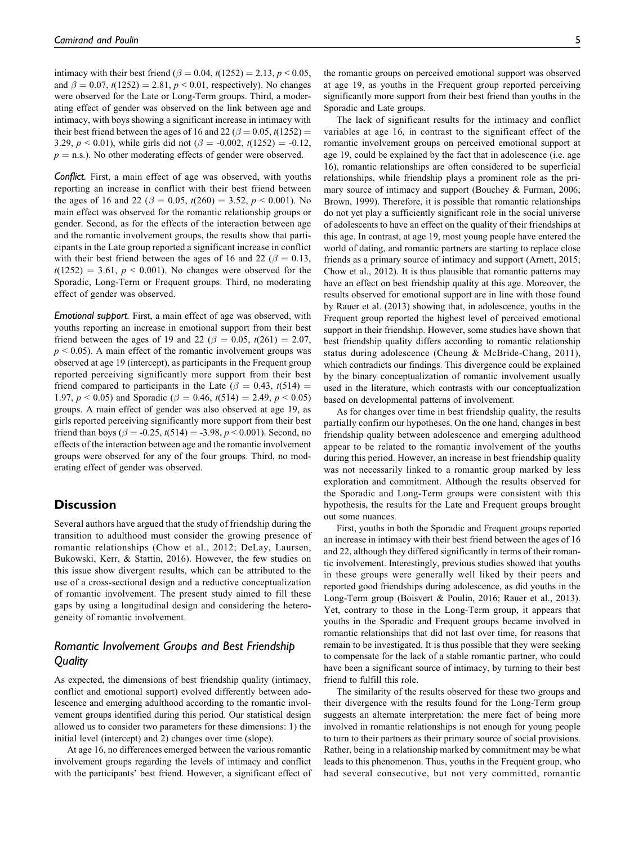intimacy with their best friend ( $\beta = 0.04$ ,  $t(1252) = 2.13$ ,  $p < 0.05$ , and  $\beta = 0.07$ ,  $t(1252) = 2.81$ ,  $p < 0.01$ , respectively). No changes were observed for the Late or Long-Term groups. Third, a moderating effect of gender was observed on the link between age and intimacy, with boys showing a significant increase in intimacy with their best friend between the ages of 16 and 22 ( $\beta$  = 0.05, t(1252) = 3.29,  $p < 0.01$ ), while girls did not ( $\beta = -0.002$ ,  $t(1252) = -0.12$ ,  $p =$  n.s.). No other moderating effects of gender were observed.

Conflict. First, a main effect of age was observed, with youths reporting an increase in conflict with their best friend between the ages of 16 and 22 ( $\beta = 0.05$ ,  $t(260) = 3.52$ ,  $p < 0.001$ ). No main effect was observed for the romantic relationship groups or gender. Second, as for the effects of the interaction between age and the romantic involvement groups, the results show that participants in the Late group reported a significant increase in conflict with their best friend between the ages of 16 and 22 ( $\beta = 0.13$ ,  $t(1252) = 3.61, p < 0.001$ ). No changes were observed for the Sporadic, Long-Term or Frequent groups. Third, no moderating effect of gender was observed.

Emotional support. First, a main effect of age was observed, with youths reporting an increase in emotional support from their best friend between the ages of 19 and 22 ( $\beta = 0.05$ ,  $t(261) = 2.07$ ,  $p < 0.05$ ). A main effect of the romantic involvement groups was observed at age 19 (intercept), as participants in the Frequent group reported perceiving significantly more support from their best friend compared to participants in the Late ( $\beta = 0.43$ ,  $t(514) =$ 1.97,  $p < 0.05$ ) and Sporadic ( $\beta = 0.46$ ,  $t(514) = 2.49$ ,  $p < 0.05$ ) groups. A main effect of gender was also observed at age 19, as girls reported perceiving significantly more support from their best friend than boys ( $\beta = -0.25$ ,  $t(514) = -3.98$ ,  $p < 0.001$ ). Second, no effects of the interaction between age and the romantic involvement groups were observed for any of the four groups. Third, no moderating effect of gender was observed.

# **Discussion**

Several authors have argued that the study of friendship during the transition to adulthood must consider the growing presence of romantic relationships (Chow et al., 2012; DeLay, Laursen, Bukowski, Kerr, & Stattin, 2016). However, the few studies on this issue show divergent results, which can be attributed to the use of a cross-sectional design and a reductive conceptualization of romantic involvement. The present study aimed to fill these gaps by using a longitudinal design and considering the heterogeneity of romantic involvement.

# Romantic Involvement Groups and Best Friendship **Quality**

As expected, the dimensions of best friendship quality (intimacy, conflict and emotional support) evolved differently between adolescence and emerging adulthood according to the romantic involvement groups identified during this period. Our statistical design allowed us to consider two parameters for these dimensions: 1) the initial level (intercept) and 2) changes over time (slope).

At age 16, no differences emerged between the various romantic involvement groups regarding the levels of intimacy and conflict with the participants' best friend. However, a significant effect of the romantic groups on perceived emotional support was observed at age 19, as youths in the Frequent group reported perceiving significantly more support from their best friend than youths in the Sporadic and Late groups.

The lack of significant results for the intimacy and conflict variables at age 16, in contrast to the significant effect of the romantic involvement groups on perceived emotional support at age 19, could be explained by the fact that in adolescence (i.e. age 16), romantic relationships are often considered to be superficial relationships, while friendship plays a prominent role as the primary source of intimacy and support (Bouchey & Furman, 2006; Brown, 1999). Therefore, it is possible that romantic relationships do not yet play a sufficiently significant role in the social universe of adolescents to have an effect on the quality of their friendships at this age. In contrast, at age 19, most young people have entered the world of dating, and romantic partners are starting to replace close friends as a primary source of intimacy and support (Arnett, 2015; Chow et al., 2012). It is thus plausible that romantic patterns may have an effect on best friendship quality at this age. Moreover, the results observed for emotional support are in line with those found by Rauer et al. (2013) showing that, in adolescence, youths in the Frequent group reported the highest level of perceived emotional support in their friendship. However, some studies have shown that best friendship quality differs according to romantic relationship status during adolescence (Cheung & McBride-Chang, 2011), which contradicts our findings. This divergence could be explained by the binary conceptualization of romantic involvement usually used in the literature, which contrasts with our conceptualization based on developmental patterns of involvement.

As for changes over time in best friendship quality, the results partially confirm our hypotheses. On the one hand, changes in best friendship quality between adolescence and emerging adulthood appear to be related to the romantic involvement of the youths during this period. However, an increase in best friendship quality was not necessarily linked to a romantic group marked by less exploration and commitment. Although the results observed for the Sporadic and Long-Term groups were consistent with this hypothesis, the results for the Late and Frequent groups brought out some nuances.

First, youths in both the Sporadic and Frequent groups reported an increase in intimacy with their best friend between the ages of 16 and 22, although they differed significantly in terms of their romantic involvement. Interestingly, previous studies showed that youths in these groups were generally well liked by their peers and reported good friendships during adolescence, as did youths in the Long-Term group (Boisvert & Poulin, 2016; Rauer et al., 2013). Yet, contrary to those in the Long-Term group, it appears that youths in the Sporadic and Frequent groups became involved in romantic relationships that did not last over time, for reasons that remain to be investigated. It is thus possible that they were seeking to compensate for the lack of a stable romantic partner, who could have been a significant source of intimacy, by turning to their best friend to fulfill this role.

The similarity of the results observed for these two groups and their divergence with the results found for the Long-Term group suggests an alternate interpretation: the mere fact of being more involved in romantic relationships is not enough for young people to turn to their partners as their primary source of social provisions. Rather, being in a relationship marked by commitment may be what leads to this phenomenon. Thus, youths in the Frequent group, who had several consecutive, but not very committed, romantic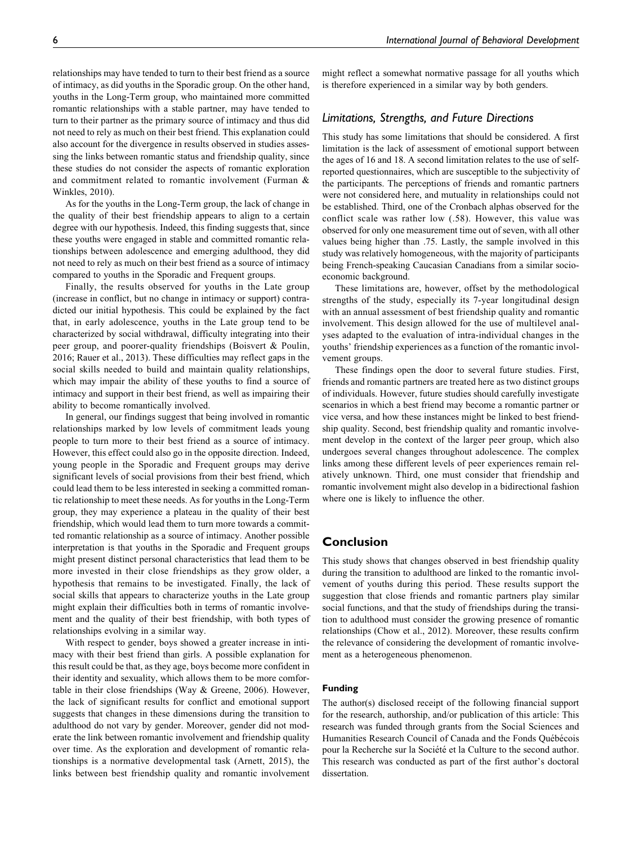relationships may have tended to turn to their best friend as a source of intimacy, as did youths in the Sporadic group. On the other hand, youths in the Long-Term group, who maintained more committed romantic relationships with a stable partner, may have tended to turn to their partner as the primary source of intimacy and thus did not need to rely as much on their best friend. This explanation could also account for the divergence in results observed in studies assessing the links between romantic status and friendship quality, since these studies do not consider the aspects of romantic exploration and commitment related to romantic involvement (Furman & Winkles, 2010).

As for the youths in the Long-Term group, the lack of change in the quality of their best friendship appears to align to a certain degree with our hypothesis. Indeed, this finding suggests that, since these youths were engaged in stable and committed romantic relationships between adolescence and emerging adulthood, they did not need to rely as much on their best friend as a source of intimacy compared to youths in the Sporadic and Frequent groups.

Finally, the results observed for youths in the Late group (increase in conflict, but no change in intimacy or support) contradicted our initial hypothesis. This could be explained by the fact that, in early adolescence, youths in the Late group tend to be characterized by social withdrawal, difficulty integrating into their peer group, and poorer-quality friendships (Boisvert & Poulin, 2016; Rauer et al., 2013). These difficulties may reflect gaps in the social skills needed to build and maintain quality relationships, which may impair the ability of these youths to find a source of intimacy and support in their best friend, as well as impairing their ability to become romantically involved.

In general, our findings suggest that being involved in romantic relationships marked by low levels of commitment leads young people to turn more to their best friend as a source of intimacy. However, this effect could also go in the opposite direction. Indeed, young people in the Sporadic and Frequent groups may derive significant levels of social provisions from their best friend, which could lead them to be less interested in seeking a committed romantic relationship to meet these needs. As for youths in the Long-Term group, they may experience a plateau in the quality of their best friendship, which would lead them to turn more towards a committed romantic relationship as a source of intimacy. Another possible interpretation is that youths in the Sporadic and Frequent groups might present distinct personal characteristics that lead them to be more invested in their close friendships as they grow older, a hypothesis that remains to be investigated. Finally, the lack of social skills that appears to characterize youths in the Late group might explain their difficulties both in terms of romantic involvement and the quality of their best friendship, with both types of relationships evolving in a similar way.

With respect to gender, boys showed a greater increase in intimacy with their best friend than girls. A possible explanation for this result could be that, as they age, boys become more confident in their identity and sexuality, which allows them to be more comfortable in their close friendships (Way & Greene, 2006). However, the lack of significant results for conflict and emotional support suggests that changes in these dimensions during the transition to adulthood do not vary by gender. Moreover, gender did not moderate the link between romantic involvement and friendship quality over time. As the exploration and development of romantic relationships is a normative developmental task (Arnett, 2015), the links between best friendship quality and romantic involvement might reflect a somewhat normative passage for all youths which is therefore experienced in a similar way by both genders.

## Limitations, Strengths, and Future Directions

This study has some limitations that should be considered. A first limitation is the lack of assessment of emotional support between the ages of 16 and 18. A second limitation relates to the use of selfreported questionnaires, which are susceptible to the subjectivity of the participants. The perceptions of friends and romantic partners were not considered here, and mutuality in relationships could not be established. Third, one of the Cronbach alphas observed for the conflict scale was rather low (.58). However, this value was observed for only one measurement time out of seven, with all other values being higher than .75. Lastly, the sample involved in this study was relatively homogeneous, with the majority of participants being French-speaking Caucasian Canadians from a similar socioeconomic background.

These limitations are, however, offset by the methodological strengths of the study, especially its 7-year longitudinal design with an annual assessment of best friendship quality and romantic involvement. This design allowed for the use of multilevel analyses adapted to the evaluation of intra-individual changes in the youths' friendship experiences as a function of the romantic involvement groups.

These findings open the door to several future studies. First, friends and romantic partners are treated here as two distinct groups of individuals. However, future studies should carefully investigate scenarios in which a best friend may become a romantic partner or vice versa, and how these instances might be linked to best friendship quality. Second, best friendship quality and romantic involvement develop in the context of the larger peer group, which also undergoes several changes throughout adolescence. The complex links among these different levels of peer experiences remain relatively unknown. Third, one must consider that friendship and romantic involvement might also develop in a bidirectional fashion where one is likely to influence the other.

### Conclusion

This study shows that changes observed in best friendship quality during the transition to adulthood are linked to the romantic involvement of youths during this period. These results support the suggestion that close friends and romantic partners play similar social functions, and that the study of friendships during the transition to adulthood must consider the growing presence of romantic relationships (Chow et al., 2012). Moreover, these results confirm the relevance of considering the development of romantic involvement as a heterogeneous phenomenon.

#### Funding

The author(s) disclosed receipt of the following financial support for the research, authorship, and/or publication of this article: This research was funded through grants from the Social Sciences and Humanities Research Council of Canada and the Fonds Québécois pour la Recherche sur la Société et la Culture to the second author. This research was conducted as part of the first author's doctoral dissertation.